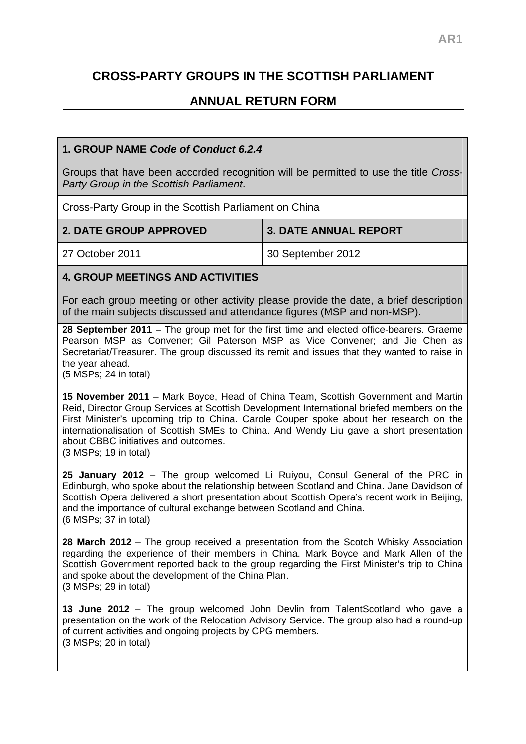# **CROSS-PARTY GROUPS IN THE SCOTTISH PARLIAMENT**

## **ANNUAL RETURN FORM**

#### **1. GROUP NAME** *Code of Conduct 6.2.4*

Groups that have been accorded recognition will be permitted to use the title *Cross-Party Group in the Scottish Parliament*.

Cross-Party Group in the Scottish Parliament on China

| <b>2. DATE GROUP APPROVED</b> | <b>3. DATE ANNUAL REPORT</b>   |
|-------------------------------|--------------------------------|
| 27 October 2011               | <sup>1</sup> 30 September 2012 |

#### **4. GROUP MEETINGS AND ACTIVITIES**

For each group meeting or other activity please provide the date, a brief description of the main subjects discussed and attendance figures (MSP and non-MSP).

**28 September 2011** – The group met for the first time and elected office-bearers. Graeme Pearson MSP as Convener; Gil Paterson MSP as Vice Convener; and Jie Chen as Secretariat/Treasurer. The group discussed its remit and issues that they wanted to raise in the year ahead.

(5 MSPs; 24 in total)

**15 November 2011** – Mark Boyce, Head of China Team, Scottish Government and Martin Reid, Director Group Services at Scottish Development International briefed members on the First Minister's upcoming trip to China. Carole Couper spoke about her research on the internationalisation of Scottish SMEs to China. And Wendy Liu gave a short presentation about CBBC initiatives and outcomes. (3 MSPs; 19 in total)

**25 January 2012** – The group welcomed Li Ruiyou, Consul General of the PRC in Edinburgh, who spoke about the relationship between Scotland and China. Jane Davidson of Scottish Opera delivered a short presentation about Scottish Opera's recent work in Beijing, and the importance of cultural exchange between Scotland and China. (6 MSPs; 37 in total)

**28 March 2012** – The group received a presentation from the Scotch Whisky Association regarding the experience of their members in China. Mark Boyce and Mark Allen of the Scottish Government reported back to the group regarding the First Minister's trip to China and spoke about the development of the China Plan. (3 MSPs; 29 in total)

**13 June 2012** – The group welcomed John Devlin from TalentScotland who gave a presentation on the work of the Relocation Advisory Service. The group also had a round-up of current activities and ongoing projects by CPG members. (3 MSPs; 20 in total)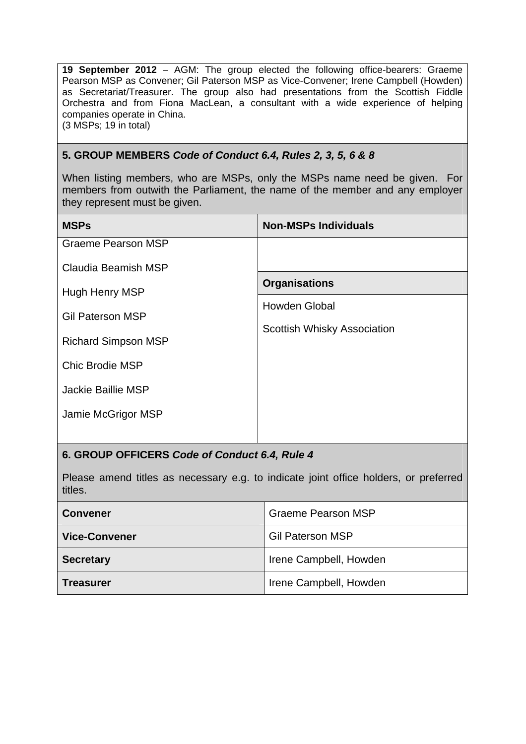**19 September 2012** – AGM: The group elected the following office-bearers: Graeme Pearson MSP as Convener; Gil Paterson MSP as Vice-Convener; Irene Campbell (Howden) as Secretariat/Treasurer. The group also had presentations from the Scottish Fiddle Orchestra and from Fiona MacLean, a consultant with a wide experience of helping companies operate in China. (3 MSPs; 19 in total)

#### **5. GROUP MEMBERS** *Code of Conduct 6.4, Rules 2, 3, 5, 6 & 8*

When listing members, who are MSPs, only the MSPs name need be given. For members from outwith the Parliament, the name of the member and any employer they represent must be given.

| <b>MSPs</b>                | <b>Non-MSPs Individuals</b>                  |
|----------------------------|----------------------------------------------|
| <b>Graeme Pearson MSP</b>  |                                              |
| Claudia Beamish MSP        |                                              |
| Hugh Henry MSP             | <b>Organisations</b><br><b>Howden Global</b> |
| <b>Gil Paterson MSP</b>    |                                              |
| <b>Richard Simpson MSP</b> | Scottish Whisky Association                  |
| <b>Chic Brodie MSP</b>     |                                              |
| Jackie Baillie MSP         |                                              |
| Jamie McGrigor MSP         |                                              |
|                            |                                              |

### **6. GROUP OFFICERS** *Code of Conduct 6.4, Rule 4*

Please amend titles as necessary e.g. to indicate joint office holders, or preferred titles.

| <b>Convener</b>      | <b>Graeme Pearson MSP</b> |
|----------------------|---------------------------|
| <b>Vice-Convener</b> | <b>Gil Paterson MSP</b>   |
| <b>Secretary</b>     | Irene Campbell, Howden    |
| <b>Treasurer</b>     | Irene Campbell, Howden    |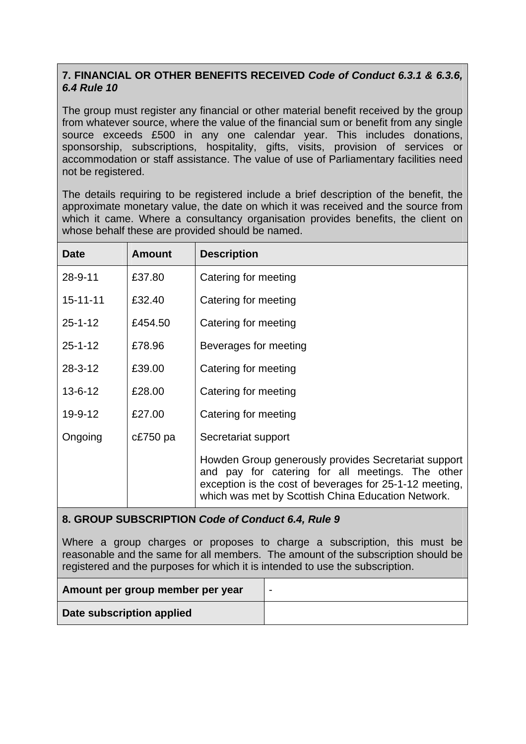## **7. FINANCIAL OR OTHER BENEFITS RECEIVED** *Code of Conduct 6.3.1 & 6.3.6, 6.4 Rule 10*

The group must register any financial or other material benefit received by the group from whatever source, where the value of the financial sum or benefit from any single source exceeds £500 in any one calendar year. This includes donations, sponsorship, subscriptions, hospitality, gifts, visits, provision of services or accommodation or staff assistance. The value of use of Parliamentary facilities need not be registered.

The details requiring to be registered include a brief description of the benefit, the approximate monetary value, the date on which it was received and the source from which it came. Where a consultancy organisation provides benefits, the client on whose behalf these are provided should be named.

| <b>Date</b>    | <b>Amount</b> | <b>Description</b>                                                                                                                                                                                                        |
|----------------|---------------|---------------------------------------------------------------------------------------------------------------------------------------------------------------------------------------------------------------------------|
| 28-9-11        | £37.80        | Catering for meeting                                                                                                                                                                                                      |
| $15 - 11 - 11$ | £32.40        | Catering for meeting                                                                                                                                                                                                      |
| $25 - 1 - 12$  | £454.50       | Catering for meeting                                                                                                                                                                                                      |
| $25 - 1 - 12$  | £78.96        | Beverages for meeting                                                                                                                                                                                                     |
| $28 - 3 - 12$  | £39.00        | Catering for meeting                                                                                                                                                                                                      |
| $13 - 6 - 12$  | £28.00        | Catering for meeting                                                                                                                                                                                                      |
| 19-9-12        | £27.00        | Catering for meeting                                                                                                                                                                                                      |
| Ongoing        | $cE750$ pa    | Secretariat support                                                                                                                                                                                                       |
|                |               | Howden Group generously provides Secretariat support<br>and pay for catering for all meetings. The other<br>exception is the cost of beverages for 25-1-12 meeting,<br>which was met by Scottish China Education Network. |

### **8. GROUP SUBSCRIPTION** *Code of Conduct 6.4, Rule 9*

Where a group charges or proposes to charge a subscription, this must be reasonable and the same for all members. The amount of the subscription should be registered and the purposes for which it is intended to use the subscription.

| Amount per group member per year | - |
|----------------------------------|---|
| Date subscription applied        |   |